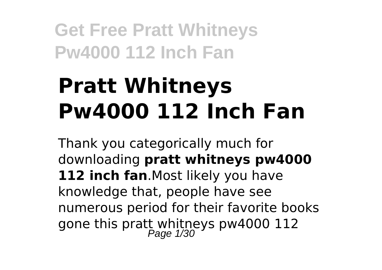# **Pratt Whitneys Pw4000 112 Inch Fan**

Thank you categorically much for downloading **pratt whitneys pw4000** 112 inch fan.Most likely you have knowledge that, people have see numerous period for their favorite books gone this pratt whitneys pw4000 112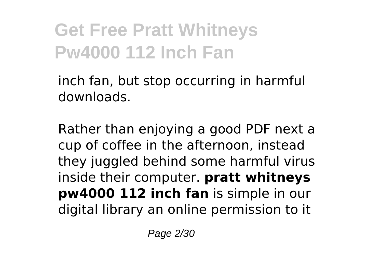inch fan, but stop occurring in harmful downloads.

Rather than enjoying a good PDF next a cup of coffee in the afternoon, instead they juggled behind some harmful virus inside their computer. **pratt whitneys pw4000 112 inch fan** is simple in our digital library an online permission to it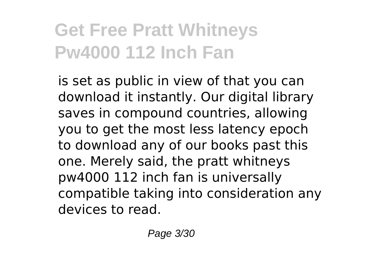is set as public in view of that you can download it instantly. Our digital library saves in compound countries, allowing you to get the most less latency epoch to download any of our books past this one. Merely said, the pratt whitneys pw4000 112 inch fan is universally compatible taking into consideration any devices to read.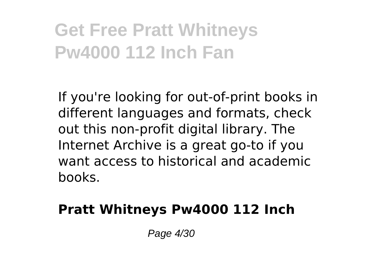If you're looking for out-of-print books in different languages and formats, check out this non-profit digital library. The Internet Archive is a great go-to if you want access to historical and academic books.

#### **Pratt Whitneys Pw4000 112 Inch**

Page 4/30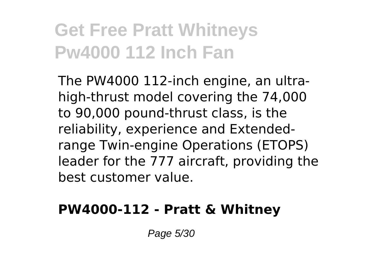The PW4000 112-inch engine, an ultrahigh-thrust model covering the 74,000 to 90,000 pound-thrust class, is the reliability, experience and Extendedrange Twin-engine Operations (ETOPS) leader for the 777 aircraft, providing the best customer value.

#### **PW4000-112 - Pratt & Whitney**

Page 5/30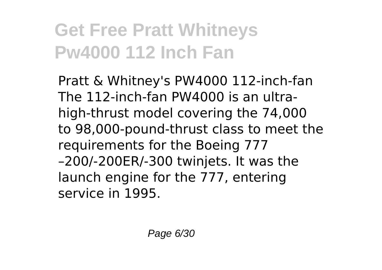Pratt & Whitney's PW4000 112-inch-fan The 112-inch-fan PW4000 is an ultrahigh-thrust model covering the 74,000 to 98,000-pound-thrust class to meet the requirements for the Boeing 777 –200/-200ER/-300 twinjets. It was the launch engine for the 777, entering service in 1995.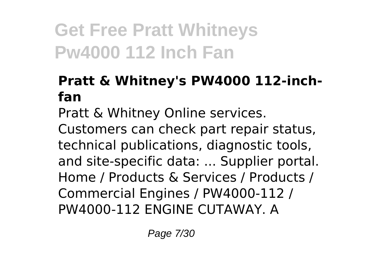#### **Pratt & Whitney's PW4000 112-inchfan**

Pratt & Whitney Online services.

Customers can check part repair status, technical publications, diagnostic tools, and site-specific data: ... Supplier portal. Home / Products & Services / Products / Commercial Engines / PW4000-112 / PW4000-112 ENGINE CUTAWAY. A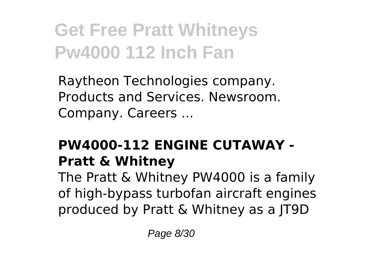Raytheon Technologies company. Products and Services. Newsroom. Company. Careers ...

#### **PW4000-112 ENGINE CUTAWAY - Pratt & Whitney**

The Pratt & Whitney PW4000 is a family of high-bypass turbofan aircraft engines produced by Pratt & Whitney as a JT9D

Page 8/30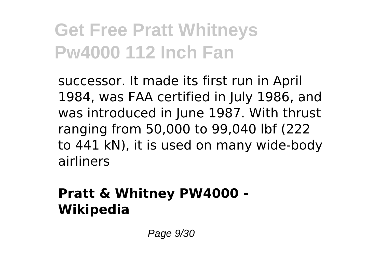successor. It made its first run in April 1984, was FAA certified in July 1986, and was introduced in June 1987. With thrust ranging from 50,000 to 99,040 lbf (222 to 441 kN), it is used on many wide-body airliners

#### **Pratt & Whitney PW4000 - Wikipedia**

Page 9/30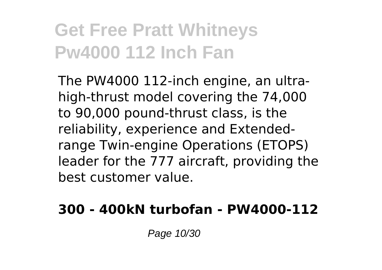The PW4000 112-inch engine, an ultrahigh-thrust model covering the 74,000 to 90,000 pound-thrust class, is the reliability, experience and Extendedrange Twin-engine Operations (ETOPS) leader for the 777 aircraft, providing the best customer value.

#### **300 - 400kN turbofan - PW4000-112**

Page 10/30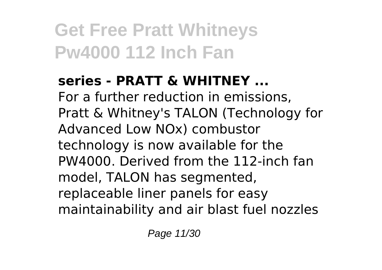#### **series - PRATT & WHITNEY ...** For a further reduction in emissions, Pratt & Whitney's TALON (Technology for Advanced Low NOx) combustor technology is now available for the PW4000. Derived from the 112-inch fan model, TALON has segmented, replaceable liner panels for easy maintainability and air blast fuel nozzles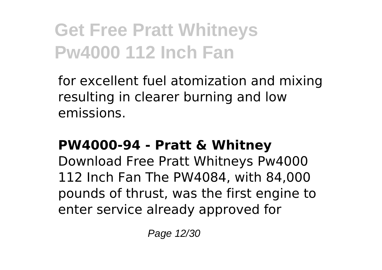for excellent fuel atomization and mixing resulting in clearer burning and low emissions.

#### **PW4000-94 - Pratt & Whitney**

Download Free Pratt Whitneys Pw4000 112 Inch Fan The PW4084, with 84,000 pounds of thrust, was the first engine to enter service already approved for

Page 12/30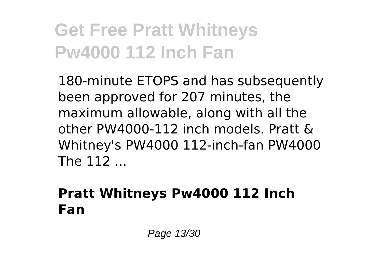180-minute ETOPS and has subsequently been approved for 207 minutes, the maximum allowable, along with all the other PW4000-112 inch models. Pratt & Whitney's PW4000 112-inch-fan PW4000 The 112 ...

#### **Pratt Whitneys Pw4000 112 Inch Fan**

Page 13/30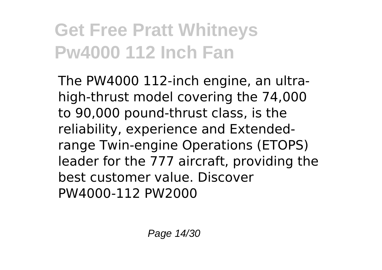The PW4000 112-inch engine, an ultrahigh-thrust model covering the 74,000 to 90,000 pound-thrust class, is the reliability, experience and Extendedrange Twin-engine Operations (ETOPS) leader for the 777 aircraft, providing the best customer value. Discover PW4000-112 PW2000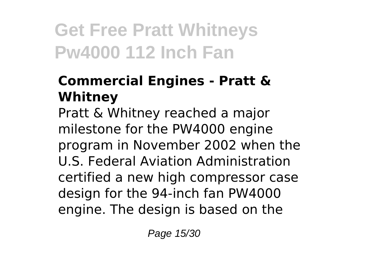#### **Commercial Engines - Pratt & Whitney**

Pratt & Whitney reached a major milestone for the PW4000 engine program in November 2002 when the U.S. Federal Aviation Administration certified a new high compressor case design for the 94-inch fan PW4000 engine. The design is based on the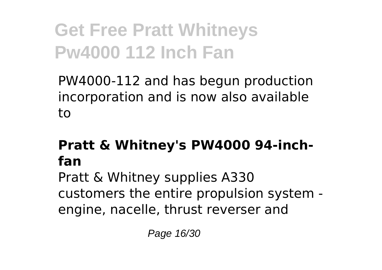PW4000-112 and has begun production incorporation and is now also available to

#### **Pratt & Whitney's PW4000 94-inchfan**

Pratt & Whitney supplies A330 customers the entire propulsion system engine, nacelle, thrust reverser and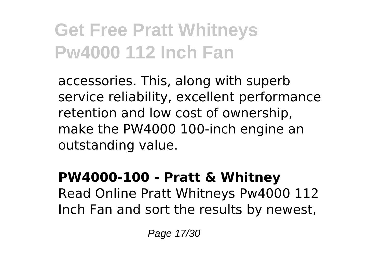accessories. This, along with superb service reliability, excellent performance retention and low cost of ownership, make the PW4000 100-inch engine an outstanding value.

#### **PW4000-100 - Pratt & Whitney** Read Online Pratt Whitneys Pw4000 112 Inch Fan and sort the results by newest,

Page 17/30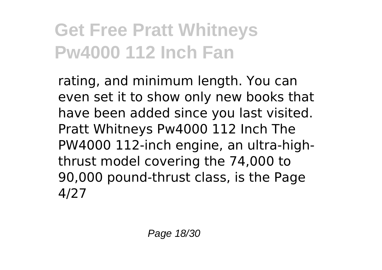rating, and minimum length. You can even set it to show only new books that have been added since you last visited. Pratt Whitneys Pw4000 112 Inch The PW4000 112-inch engine, an ultra-highthrust model covering the 74,000 to 90,000 pound-thrust class, is the Page 4/27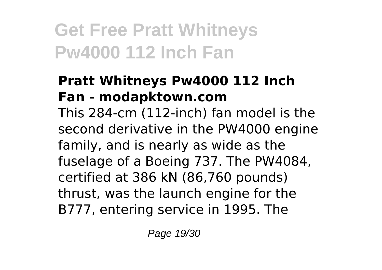#### **Pratt Whitneys Pw4000 112 Inch Fan - modapktown.com**

This 284-cm (112-inch) fan model is the second derivative in the PW4000 engine family, and is nearly as wide as the fuselage of a Boeing 737. The PW4084, certified at 386 kN (86,760 pounds) thrust, was the launch engine for the B777, entering service in 1995. The

Page 19/30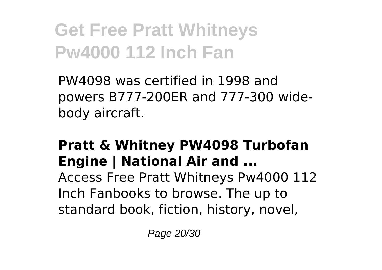PW4098 was certified in 1998 and powers B777-200ER and 777-300 widebody aircraft.

#### **Pratt & Whitney PW4098 Turbofan Engine | National Air and ...**

Access Free Pratt Whitneys Pw4000 112 Inch Fanbooks to browse. The up to standard book, fiction, history, novel,

Page 20/30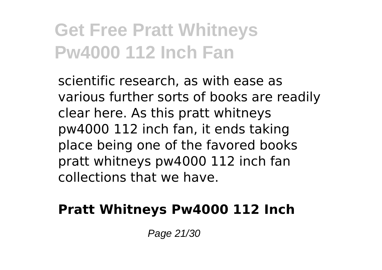scientific research, as with ease as various further sorts of books are readily clear here. As this pratt whitneys pw4000 112 inch fan, it ends taking place being one of the favored books pratt whitneys pw4000 112 inch fan collections that we have.

#### **Pratt Whitneys Pw4000 112 Inch**

Page 21/30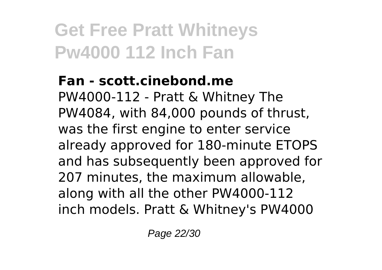#### **Fan - scott.cinebond.me**

PW4000-112 - Pratt & Whitney The PW4084, with 84,000 pounds of thrust, was the first engine to enter service already approved for 180-minute ETOPS and has subsequently been approved for 207 minutes, the maximum allowable, along with all the other PW4000-112 inch models. Pratt & Whitney's PW4000

Page 22/30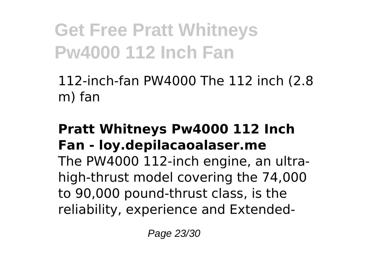112-inch-fan PW4000 The 112 inch (2.8 m) fan

#### **Pratt Whitneys Pw4000 112 Inch Fan - loy.depilacaoalaser.me**

The PW4000 112-inch engine, an ultrahigh-thrust model covering the 74,000 to 90,000 pound-thrust class, is the reliability, experience and Extended-

Page 23/30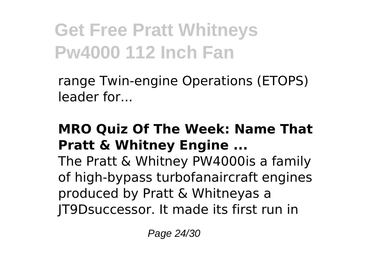range Twin-engine Operations (ETOPS) leader for...

#### **MRO Quiz Of The Week: Name That Pratt & Whitney Engine ...**

The Pratt & Whitney PW4000is a family of high-bypass turbofanaircraft engines produced by Pratt & Whitneyas a JT9Dsuccessor. It made its first run in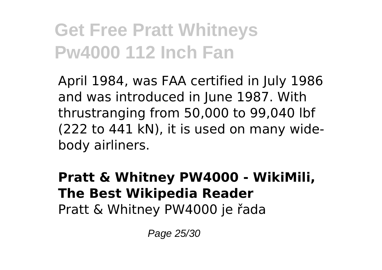April 1984, was FAA certified in July 1986 and was introduced in June 1987. With thrustranging from 50,000 to 99,040 lbf (222 to 441 kN), it is used on many widebody airliners.

#### **Pratt & Whitney PW4000 - WikiMili, The Best Wikipedia Reader** Pratt & Whitney PW4000 je řada

Page 25/30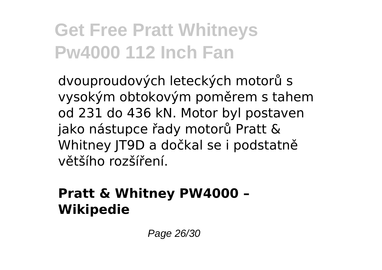dvouproudových leteckých motorů s vysokým obtokovým poměrem s tahem od 231 do 436 kN. Motor byl postaven jako nástupce řady motorů Pratt & Whitney JT9D a dočkal se i podstatně většího rozšíření.

#### **Pratt & Whitney PW4000 – Wikipedie**

Page 26/30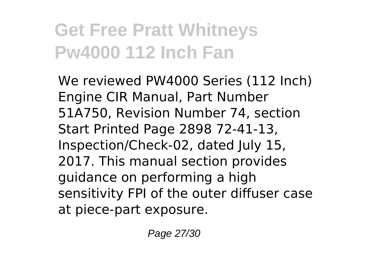We reviewed PW4000 Series (112 Inch) Engine CIR Manual, Part Number 51A750, Revision Number 74, section Start Printed Page 2898 72-41-13, Inspection/Check-02, dated July 15, 2017. This manual section provides guidance on performing a high sensitivity FPI of the outer diffuser case at piece-part exposure.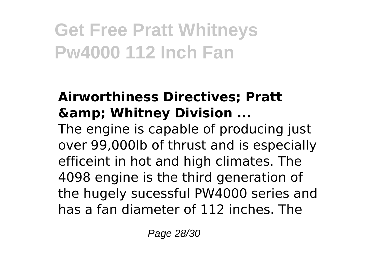#### **Airworthiness Directives; Pratt & Whitney Division ...**

The engine is capable of producing just over 99,000lb of thrust and is especially efficeint in hot and high climates. The 4098 engine is the third generation of the hugely sucessful PW4000 series and has a fan diameter of 112 inches. The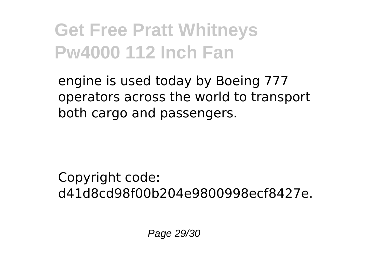engine is used today by Boeing 777 operators across the world to transport both cargo and passengers.

Copyright code: d41d8cd98f00b204e9800998ecf8427e.

Page 29/30